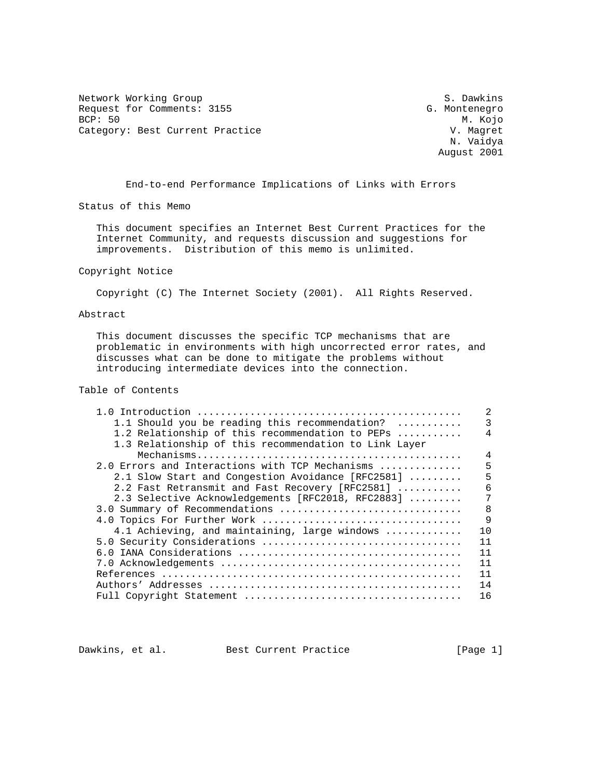Network Working Group<br>Request for Comments: 3155 Sequest for Comments: 3155 Request for Comments: 3155 G. Montenegro<br>BCP: 50 M. Kojo BCP: 50 M. Kojo Category: Best Current Practice V. Magret

 N. Vaidya August 2001

End-to-end Performance Implications of Links with Errors

Status of this Memo

 This document specifies an Internet Best Current Practices for the Internet Community, and requests discussion and suggestions for improvements. Distribution of this memo is unlimited.

# Copyright Notice

Copyright (C) The Internet Society (2001). All Rights Reserved.

# Abstract

 This document discusses the specific TCP mechanisms that are problematic in environments with high uncorrected error rates, and discusses what can be done to mitigate the problems without introducing intermediate devices into the connection.

# Table of Contents

|                                                       | 2  |
|-------------------------------------------------------|----|
| 1.1 Should you be reading this recommendation?        | 3  |
| 1.2 Relationship of this recommendation to PEPs       | 4  |
| 1.3 Relationship of this recommendation to Link Layer |    |
|                                                       | 4  |
| 2.0 Errors and Interactions with TCP Mechanisms       | 5  |
| 2.1 Slow Start and Congestion Avoidance [RFC2581]     | 5  |
| 2.2 Fast Retransmit and Fast Recovery [RFC2581]       | 6  |
| 2.3 Selective Acknowledgements [RFC2018, RFC2883]     | 7  |
| 3.0 Summary of Recommendations                        | 8  |
| 4.0 Topics For Further Work                           | 9  |
| 4.1 Achieving, and maintaining, large windows         | 10 |
| 5.0 Security Considerations                           | 11 |
|                                                       | 11 |
|                                                       | 11 |
|                                                       | 11 |
|                                                       | 14 |
|                                                       | 16 |
|                                                       |    |

Dawkins, et al. Best Current Practice [Page 1]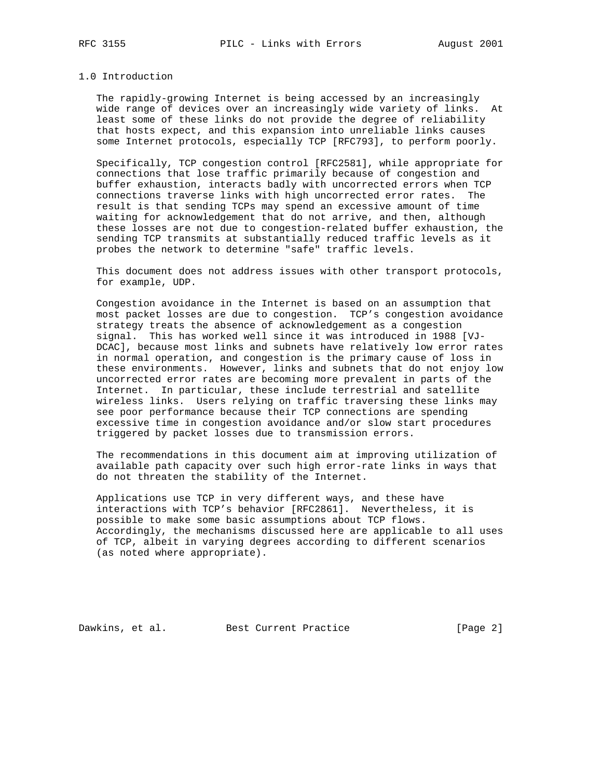### 1.0 Introduction

 The rapidly-growing Internet is being accessed by an increasingly wide range of devices over an increasingly wide variety of links. At least some of these links do not provide the degree of reliability that hosts expect, and this expansion into unreliable links causes some Internet protocols, especially TCP [RFC793], to perform poorly.

 Specifically, TCP congestion control [RFC2581], while appropriate for connections that lose traffic primarily because of congestion and buffer exhaustion, interacts badly with uncorrected errors when TCP connections traverse links with high uncorrected error rates. The result is that sending TCPs may spend an excessive amount of time waiting for acknowledgement that do not arrive, and then, although these losses are not due to congestion-related buffer exhaustion, the sending TCP transmits at substantially reduced traffic levels as it probes the network to determine "safe" traffic levels.

 This document does not address issues with other transport protocols, for example, UDP.

 Congestion avoidance in the Internet is based on an assumption that most packet losses are due to congestion. TCP's congestion avoidance strategy treats the absence of acknowledgement as a congestion signal. This has worked well since it was introduced in 1988 [VJ- DCAC], because most links and subnets have relatively low error rates in normal operation, and congestion is the primary cause of loss in these environments. However, links and subnets that do not enjoy low uncorrected error rates are becoming more prevalent in parts of the Internet. In particular, these include terrestrial and satellite wireless links. Users relying on traffic traversing these links may see poor performance because their TCP connections are spending excessive time in congestion avoidance and/or slow start procedures triggered by packet losses due to transmission errors.

 The recommendations in this document aim at improving utilization of available path capacity over such high error-rate links in ways that do not threaten the stability of the Internet.

 Applications use TCP in very different ways, and these have interactions with TCP's behavior [RFC2861]. Nevertheless, it is possible to make some basic assumptions about TCP flows. Accordingly, the mechanisms discussed here are applicable to all uses of TCP, albeit in varying degrees according to different scenarios (as noted where appropriate).

Dawkins, et al. Best Current Practice [Page 2]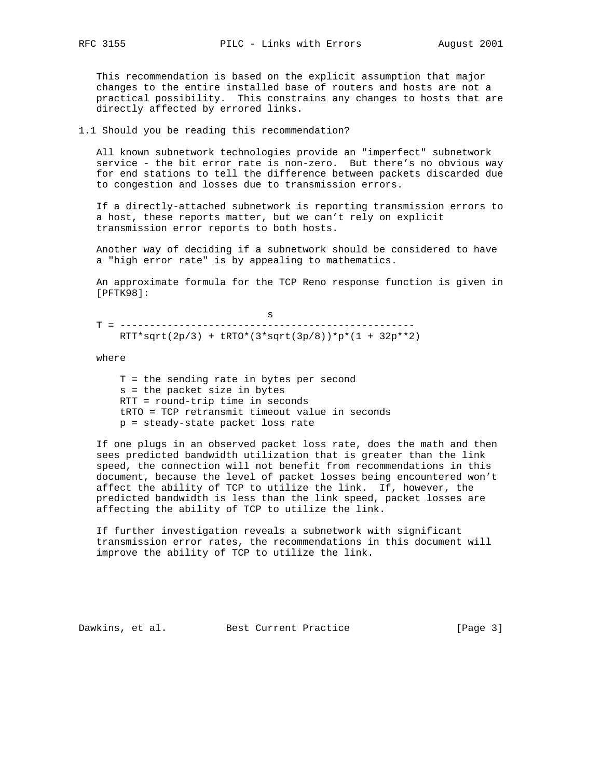This recommendation is based on the explicit assumption that major changes to the entire installed base of routers and hosts are not a practical possibility. This constrains any changes to hosts that are directly affected by errored links.

1.1 Should you be reading this recommendation?

 All known subnetwork technologies provide an "imperfect" subnetwork service - the bit error rate is non-zero. But there's no obvious way for end stations to tell the difference between packets discarded due to congestion and losses due to transmission errors.

 If a directly-attached subnetwork is reporting transmission errors to a host, these reports matter, but we can't rely on explicit transmission error reports to both hosts.

 Another way of deciding if a subnetwork should be considered to have a "high error rate" is by appealing to mathematics.

 An approximate formula for the TCP Reno response function is given in [PFTK98]:

s and the state of the state of the state of the state of the state of the state of the state of the state of the state of the state of the state of the state of the state of the state of the state of the state of the stat T = --------------------------------------------------  $RTT*sqrt(2p/3) + LRTO*(3*sqrt(3p/8))*p*(1 + 32p**2)$ 

where

 T = the sending rate in bytes per second s = the packet size in bytes RTT = round-trip time in seconds tRTO = TCP retransmit timeout value in seconds p = steady-state packet loss rate

 If one plugs in an observed packet loss rate, does the math and then sees predicted bandwidth utilization that is greater than the link speed, the connection will not benefit from recommendations in this document, because the level of packet losses being encountered won't affect the ability of TCP to utilize the link. If, however, the predicted bandwidth is less than the link speed, packet losses are affecting the ability of TCP to utilize the link.

 If further investigation reveals a subnetwork with significant transmission error rates, the recommendations in this document will improve the ability of TCP to utilize the link.

Dawkins, et al. Best Current Practice [Page 3]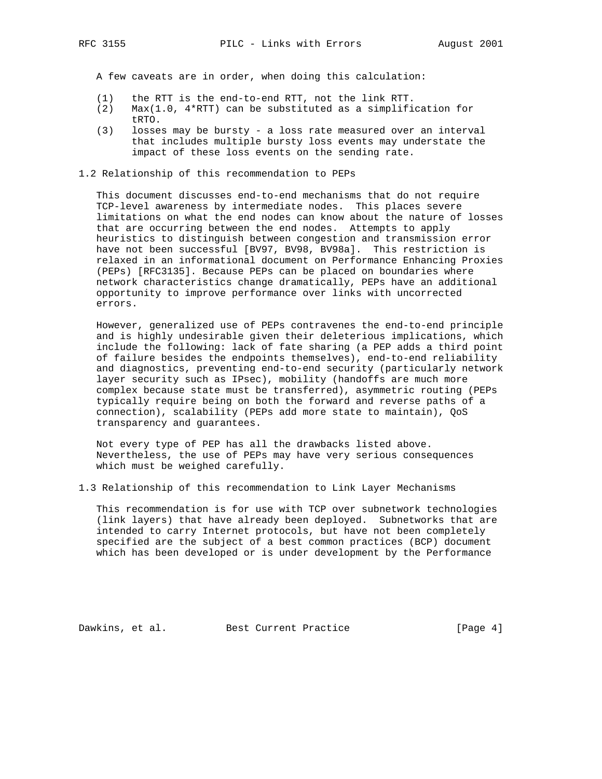A few caveats are in order, when doing this calculation:

- (1) the RTT is the end-to-end RTT, not the link RTT.
- (2) Max(1.0, 4\*RTT) can be substituted as a simplification for tRTO.<br>(3) losse
- losses may be bursty a loss rate measured over an interval that includes multiple bursty loss events may understate the impact of these loss events on the sending rate.

1.2 Relationship of this recommendation to PEPs

 This document discusses end-to-end mechanisms that do not require TCP-level awareness by intermediate nodes. This places severe limitations on what the end nodes can know about the nature of losses that are occurring between the end nodes. Attempts to apply heuristics to distinguish between congestion and transmission error have not been successful [BV97, BV98, BV98a]. This restriction is relaxed in an informational document on Performance Enhancing Proxies (PEPs) [RFC3135]. Because PEPs can be placed on boundaries where network characteristics change dramatically, PEPs have an additional opportunity to improve performance over links with uncorrected errors.

 However, generalized use of PEPs contravenes the end-to-end principle and is highly undesirable given their deleterious implications, which include the following: lack of fate sharing (a PEP adds a third point of failure besides the endpoints themselves), end-to-end reliability and diagnostics, preventing end-to-end security (particularly network layer security such as IPsec), mobility (handoffs are much more complex because state must be transferred), asymmetric routing (PEPs typically require being on both the forward and reverse paths of a connection), scalability (PEPs add more state to maintain), QoS transparency and guarantees.

 Not every type of PEP has all the drawbacks listed above. Nevertheless, the use of PEPs may have very serious consequences which must be weighed carefully.

1.3 Relationship of this recommendation to Link Layer Mechanisms

 This recommendation is for use with TCP over subnetwork technologies (link layers) that have already been deployed. Subnetworks that are intended to carry Internet protocols, but have not been completely specified are the subject of a best common practices (BCP) document which has been developed or is under development by the Performance

Dawkins, et al. Best Current Practice [Page 4]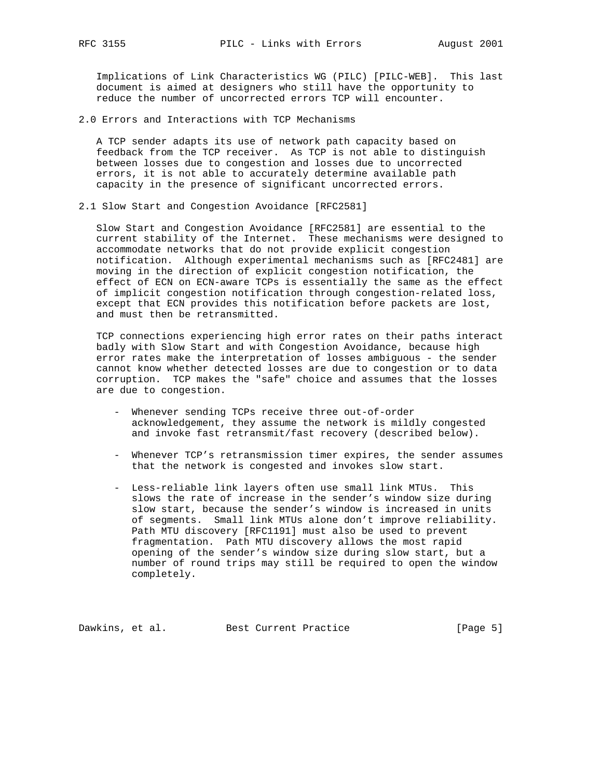Implications of Link Characteristics WG (PILC) [PILC-WEB]. This last document is aimed at designers who still have the opportunity to reduce the number of uncorrected errors TCP will encounter.

2.0 Errors and Interactions with TCP Mechanisms

 A TCP sender adapts its use of network path capacity based on feedback from the TCP receiver. As TCP is not able to distinguish between losses due to congestion and losses due to uncorrected errors, it is not able to accurately determine available path capacity in the presence of significant uncorrected errors.

2.1 Slow Start and Congestion Avoidance [RFC2581]

 Slow Start and Congestion Avoidance [RFC2581] are essential to the current stability of the Internet. These mechanisms were designed to accommodate networks that do not provide explicit congestion notification. Although experimental mechanisms such as [RFC2481] are moving in the direction of explicit congestion notification, the effect of ECN on ECN-aware TCPs is essentially the same as the effect of implicit congestion notification through congestion-related loss, except that ECN provides this notification before packets are lost, and must then be retransmitted.

 TCP connections experiencing high error rates on their paths interact badly with Slow Start and with Congestion Avoidance, because high error rates make the interpretation of losses ambiguous - the sender cannot know whether detected losses are due to congestion or to data corruption. TCP makes the "safe" choice and assumes that the losses are due to congestion.

- Whenever sending TCPs receive three out-of-order acknowledgement, they assume the network is mildly congested and invoke fast retransmit/fast recovery (described below).
- Whenever TCP's retransmission timer expires, the sender assumes that the network is congested and invokes slow start.
- Less-reliable link layers often use small link MTUs. This slows the rate of increase in the sender's window size during slow start, because the sender's window is increased in units of segments. Small link MTUs alone don't improve reliability. Path MTU discovery [RFC1191] must also be used to prevent fragmentation. Path MTU discovery allows the most rapid opening of the sender's window size during slow start, but a number of round trips may still be required to open the window completely.

Dawkins, et al. Best Current Practice [Page 5]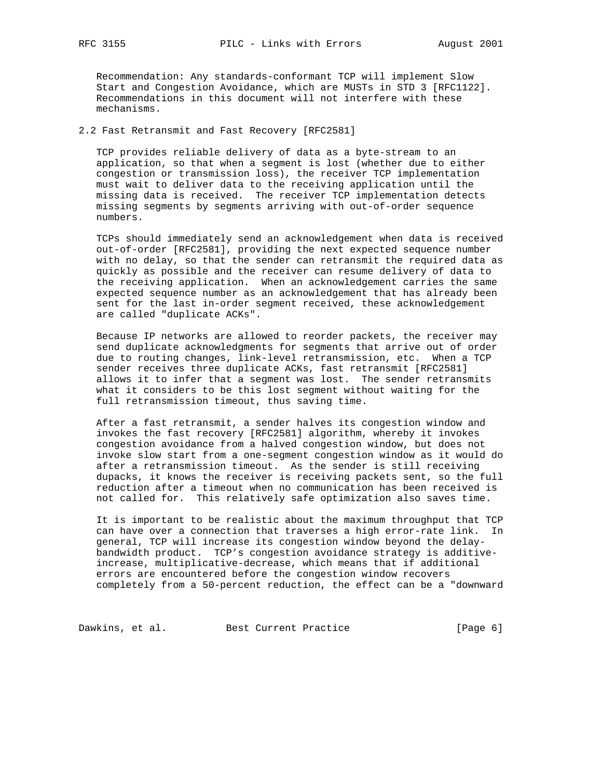Recommendation: Any standards-conformant TCP will implement Slow Start and Congestion Avoidance, which are MUSTs in STD 3 [RFC1122]. Recommendations in this document will not interfere with these mechanisms.

# 2.2 Fast Retransmit and Fast Recovery [RFC2581]

 TCP provides reliable delivery of data as a byte-stream to an application, so that when a segment is lost (whether due to either congestion or transmission loss), the receiver TCP implementation must wait to deliver data to the receiving application until the missing data is received. The receiver TCP implementation detects missing segments by segments arriving with out-of-order sequence numbers.

 TCPs should immediately send an acknowledgement when data is received out-of-order [RFC2581], providing the next expected sequence number with no delay, so that the sender can retransmit the required data as quickly as possible and the receiver can resume delivery of data to the receiving application. When an acknowledgement carries the same expected sequence number as an acknowledgement that has already been sent for the last in-order segment received, these acknowledgement are called "duplicate ACKs".

 Because IP networks are allowed to reorder packets, the receiver may send duplicate acknowledgments for segments that arrive out of order due to routing changes, link-level retransmission, etc. When a TCP sender receives three duplicate ACKs, fast retransmit [RFC2581] allows it to infer that a segment was lost. The sender retransmits what it considers to be this lost segment without waiting for the full retransmission timeout, thus saving time.

 After a fast retransmit, a sender halves its congestion window and invokes the fast recovery [RFC2581] algorithm, whereby it invokes congestion avoidance from a halved congestion window, but does not invoke slow start from a one-segment congestion window as it would do after a retransmission timeout. As the sender is still receiving dupacks, it knows the receiver is receiving packets sent, so the full reduction after a timeout when no communication has been received is not called for. This relatively safe optimization also saves time.

 It is important to be realistic about the maximum throughput that TCP can have over a connection that traverses a high error-rate link. In general, TCP will increase its congestion window beyond the delay bandwidth product. TCP's congestion avoidance strategy is additive increase, multiplicative-decrease, which means that if additional errors are encountered before the congestion window recovers completely from a 50-percent reduction, the effect can be a "downward

Dawkins, et al. Best Current Practice [Page 6]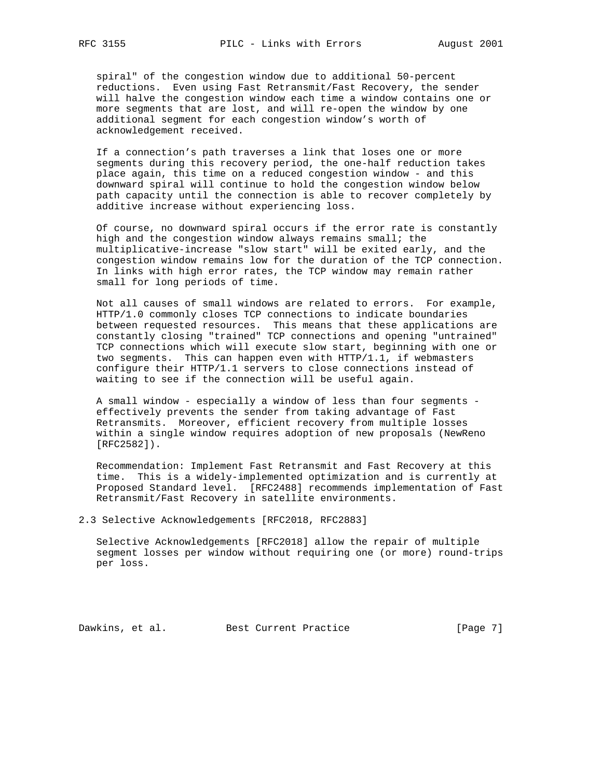spiral" of the congestion window due to additional 50-percent reductions. Even using Fast Retransmit/Fast Recovery, the sender will halve the congestion window each time a window contains one or more segments that are lost, and will re-open the window by one additional segment for each congestion window's worth of acknowledgement received.

 If a connection's path traverses a link that loses one or more segments during this recovery period, the one-half reduction takes place again, this time on a reduced congestion window - and this downward spiral will continue to hold the congestion window below path capacity until the connection is able to recover completely by additive increase without experiencing loss.

 Of course, no downward spiral occurs if the error rate is constantly high and the congestion window always remains small; the multiplicative-increase "slow start" will be exited early, and the congestion window remains low for the duration of the TCP connection. In links with high error rates, the TCP window may remain rather small for long periods of time.

 Not all causes of small windows are related to errors. For example, HTTP/1.0 commonly closes TCP connections to indicate boundaries between requested resources. This means that these applications are constantly closing "trained" TCP connections and opening "untrained" TCP connections which will execute slow start, beginning with one or two segments. This can happen even with HTTP/1.1, if webmasters configure their HTTP/1.1 servers to close connections instead of waiting to see if the connection will be useful again.

 A small window - especially a window of less than four segments effectively prevents the sender from taking advantage of Fast Retransmits. Moreover, efficient recovery from multiple losses within a single window requires adoption of new proposals (NewReno [RFC2582]).

 Recommendation: Implement Fast Retransmit and Fast Recovery at this time. This is a widely-implemented optimization and is currently at Proposed Standard level. [RFC2488] recommends implementation of Fast Retransmit/Fast Recovery in satellite environments.

2.3 Selective Acknowledgements [RFC2018, RFC2883]

 Selective Acknowledgements [RFC2018] allow the repair of multiple segment losses per window without requiring one (or more) round-trips per loss.

Dawkins, et al. Best Current Practice [Page 7]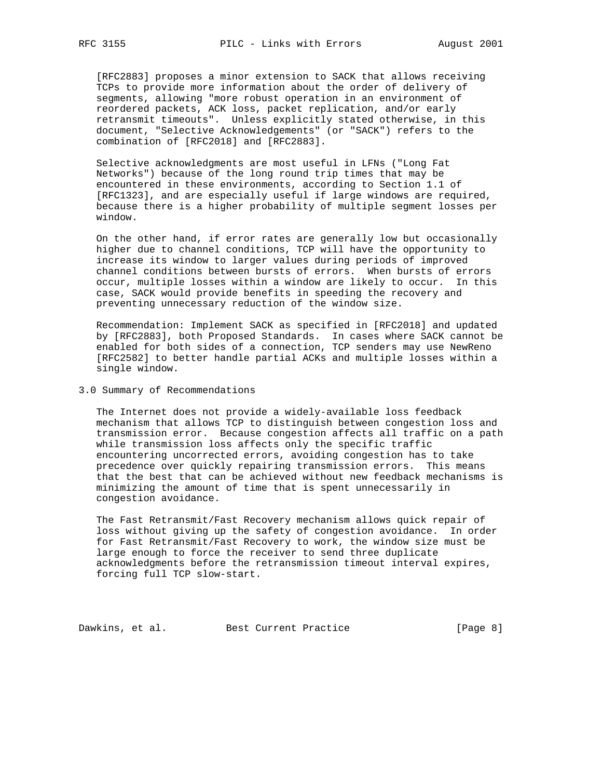[RFC2883] proposes a minor extension to SACK that allows receiving TCPs to provide more information about the order of delivery of segments, allowing "more robust operation in an environment of reordered packets, ACK loss, packet replication, and/or early retransmit timeouts". Unless explicitly stated otherwise, in this document, "Selective Acknowledgements" (or "SACK") refers to the combination of [RFC2018] and [RFC2883].

 Selective acknowledgments are most useful in LFNs ("Long Fat Networks") because of the long round trip times that may be encountered in these environments, according to Section 1.1 of [RFC1323], and are especially useful if large windows are required, because there is a higher probability of multiple segment losses per window.

 On the other hand, if error rates are generally low but occasionally higher due to channel conditions, TCP will have the opportunity to increase its window to larger values during periods of improved channel conditions between bursts of errors. When bursts of errors occur, multiple losses within a window are likely to occur. In this case, SACK would provide benefits in speeding the recovery and preventing unnecessary reduction of the window size.

 Recommendation: Implement SACK as specified in [RFC2018] and updated by [RFC2883], both Proposed Standards. In cases where SACK cannot be enabled for both sides of a connection, TCP senders may use NewReno [RFC2582] to better handle partial ACKs and multiple losses within a single window.

### 3.0 Summary of Recommendations

 The Internet does not provide a widely-available loss feedback mechanism that allows TCP to distinguish between congestion loss and transmission error. Because congestion affects all traffic on a path while transmission loss affects only the specific traffic encountering uncorrected errors, avoiding congestion has to take precedence over quickly repairing transmission errors. This means that the best that can be achieved without new feedback mechanisms is minimizing the amount of time that is spent unnecessarily in congestion avoidance.

 The Fast Retransmit/Fast Recovery mechanism allows quick repair of loss without giving up the safety of congestion avoidance. In order for Fast Retransmit/Fast Recovery to work, the window size must be large enough to force the receiver to send three duplicate acknowledgments before the retransmission timeout interval expires, forcing full TCP slow-start.

Dawkins, et al. Best Current Practice [Page 8]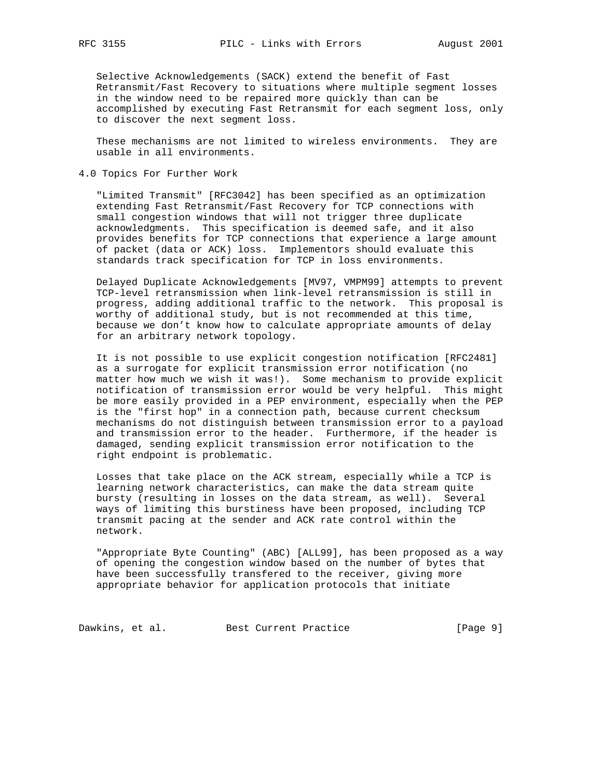Selective Acknowledgements (SACK) extend the benefit of Fast Retransmit/Fast Recovery to situations where multiple segment losses in the window need to be repaired more quickly than can be accomplished by executing Fast Retransmit for each segment loss, only to discover the next segment loss.

 These mechanisms are not limited to wireless environments. They are usable in all environments.

4.0 Topics For Further Work

 "Limited Transmit" [RFC3042] has been specified as an optimization extending Fast Retransmit/Fast Recovery for TCP connections with small congestion windows that will not trigger three duplicate acknowledgments. This specification is deemed safe, and it also provides benefits for TCP connections that experience a large amount of packet (data or ACK) loss. Implementors should evaluate this standards track specification for TCP in loss environments.

 Delayed Duplicate Acknowledgements [MV97, VMPM99] attempts to prevent TCP-level retransmission when link-level retransmission is still in progress, adding additional traffic to the network. This proposal is worthy of additional study, but is not recommended at this time, because we don't know how to calculate appropriate amounts of delay for an arbitrary network topology.

 It is not possible to use explicit congestion notification [RFC2481] as a surrogate for explicit transmission error notification (no matter how much we wish it was!). Some mechanism to provide explicit notification of transmission error would be very helpful. This might be more easily provided in a PEP environment, especially when the PEP is the "first hop" in a connection path, because current checksum mechanisms do not distinguish between transmission error to a payload and transmission error to the header. Furthermore, if the header is damaged, sending explicit transmission error notification to the right endpoint is problematic.

 Losses that take place on the ACK stream, especially while a TCP is learning network characteristics, can make the data stream quite bursty (resulting in losses on the data stream, as well). Several ways of limiting this burstiness have been proposed, including TCP transmit pacing at the sender and ACK rate control within the network.

 "Appropriate Byte Counting" (ABC) [ALL99], has been proposed as a way of opening the congestion window based on the number of bytes that have been successfully transfered to the receiver, giving more appropriate behavior for application protocols that initiate

Dawkins, et al. Best Current Practice [Page 9]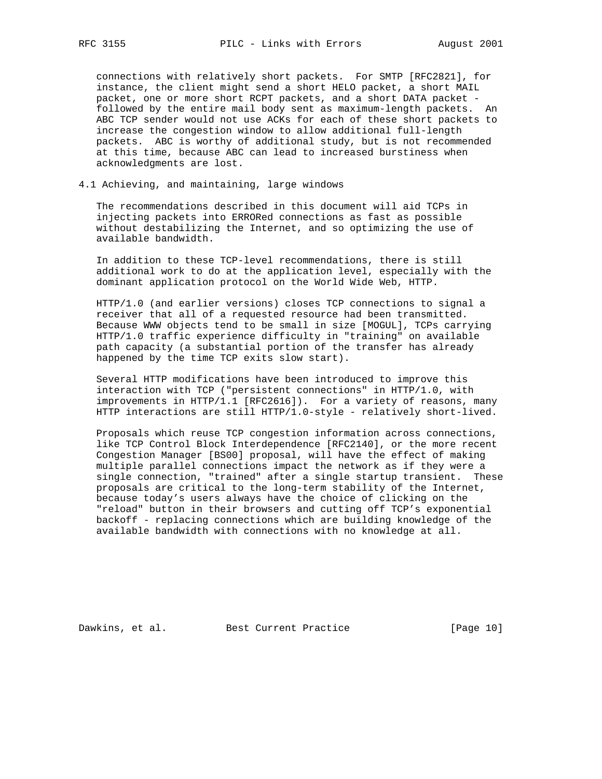connections with relatively short packets. For SMTP [RFC2821], for instance, the client might send a short HELO packet, a short MAIL packet, one or more short RCPT packets, and a short DATA packet followed by the entire mail body sent as maximum-length packets. An ABC TCP sender would not use ACKs for each of these short packets to increase the congestion window to allow additional full-length packets. ABC is worthy of additional study, but is not recommended at this time, because ABC can lead to increased burstiness when acknowledgments are lost.

4.1 Achieving, and maintaining, large windows

 The recommendations described in this document will aid TCPs in injecting packets into ERRORed connections as fast as possible without destabilizing the Internet, and so optimizing the use of available bandwidth.

 In addition to these TCP-level recommendations, there is still additional work to do at the application level, especially with the dominant application protocol on the World Wide Web, HTTP.

 HTTP/1.0 (and earlier versions) closes TCP connections to signal a receiver that all of a requested resource had been transmitted. Because WWW objects tend to be small in size [MOGUL], TCPs carrying HTTP/1.0 traffic experience difficulty in "training" on available path capacity (a substantial portion of the transfer has already happened by the time TCP exits slow start).

 Several HTTP modifications have been introduced to improve this interaction with TCP ("persistent connections" in HTTP/1.0, with improvements in HTTP/1.1 [RFC2616]). For a variety of reasons, many HTTP interactions are still HTTP/1.0-style - relatively short-lived.

 Proposals which reuse TCP congestion information across connections, like TCP Control Block Interdependence [RFC2140], or the more recent Congestion Manager [BS00] proposal, will have the effect of making multiple parallel connections impact the network as if they were a single connection, "trained" after a single startup transient. These proposals are critical to the long-term stability of the Internet, because today's users always have the choice of clicking on the "reload" button in their browsers and cutting off TCP's exponential backoff - replacing connections which are building knowledge of the available bandwidth with connections with no knowledge at all.

Dawkins, et al. Best Current Practice [Page 10]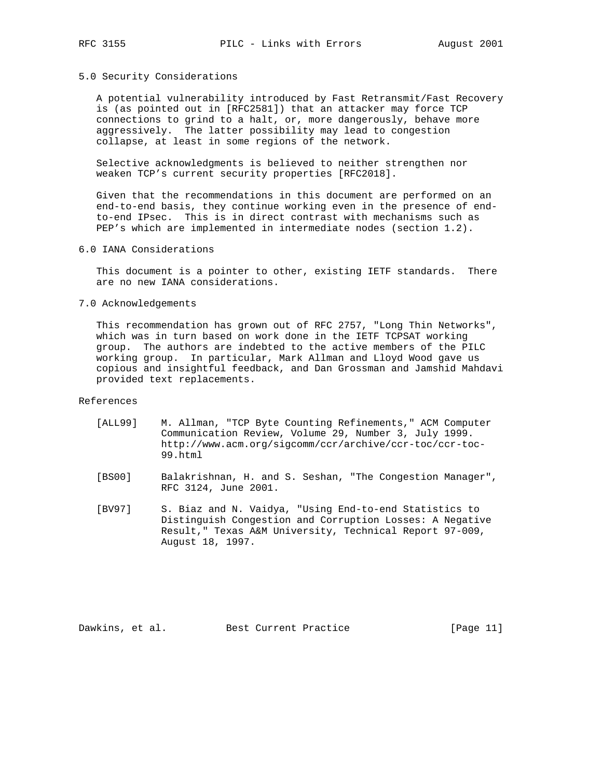# 5.0 Security Considerations

 A potential vulnerability introduced by Fast Retransmit/Fast Recovery is (as pointed out in [RFC2581]) that an attacker may force TCP connections to grind to a halt, or, more dangerously, behave more aggressively. The latter possibility may lead to congestion collapse, at least in some regions of the network.

 Selective acknowledgments is believed to neither strengthen nor weaken TCP's current security properties [RFC2018].

 Given that the recommendations in this document are performed on an end-to-end basis, they continue working even in the presence of end to-end IPsec. This is in direct contrast with mechanisms such as PEP's which are implemented in intermediate nodes (section 1.2).

6.0 IANA Considerations

 This document is a pointer to other, existing IETF standards. There are no new IANA considerations.

7.0 Acknowledgements

 This recommendation has grown out of RFC 2757, "Long Thin Networks", which was in turn based on work done in the IETF TCPSAT working group. The authors are indebted to the active members of the PILC working group. In particular, Mark Allman and Lloyd Wood gave us copious and insightful feedback, and Dan Grossman and Jamshid Mahdavi provided text replacements.

References

- [ALL99] M. Allman, "TCP Byte Counting Refinements," ACM Computer Communication Review, Volume 29, Number 3, July 1999. http://www.acm.org/sigcomm/ccr/archive/ccr-toc/ccr-toc- 99.html
- [BS00] Balakrishnan, H. and S. Seshan, "The Congestion Manager", RFC 3124, June 2001.
- [BV97] S. Biaz and N. Vaidya, "Using End-to-end Statistics to Distinguish Congestion and Corruption Losses: A Negative Result," Texas A&M University, Technical Report 97-009, August 18, 1997.

Dawkins, et al. Best Current Practice [Page 11]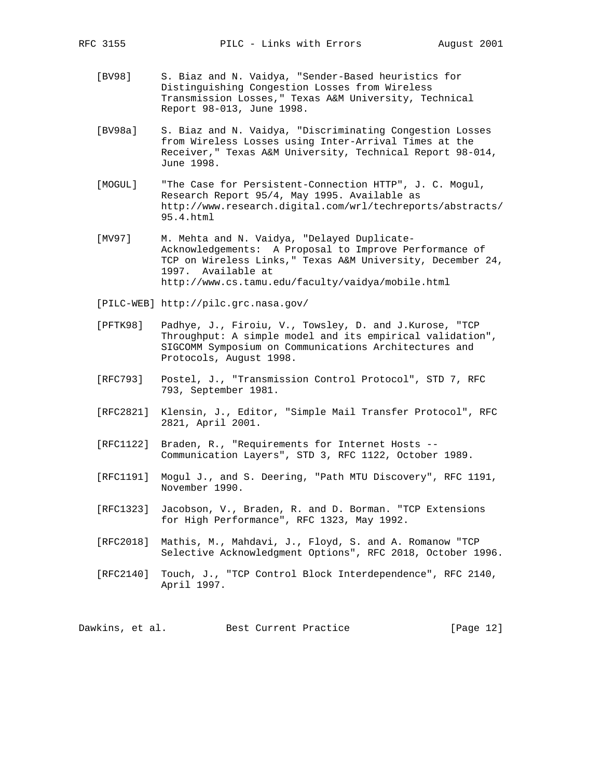- [BV98] S. Biaz and N. Vaidya, "Sender-Based heuristics for Distinguishing Congestion Losses from Wireless Transmission Losses," Texas A&M University, Technical Report 98-013, June 1998.
- [BV98a] S. Biaz and N. Vaidya, "Discriminating Congestion Losses from Wireless Losses using Inter-Arrival Times at the Receiver," Texas A&M University, Technical Report 98-014, June 1998.
- [MOGUL] "The Case for Persistent-Connection HTTP", J. C. Mogul, Research Report 95/4, May 1995. Available as http://www.research.digital.com/wrl/techreports/abstracts/ 95.4.html
- [MV97] M. Mehta and N. Vaidya, "Delayed Duplicate- Acknowledgements: A Proposal to Improve Performance of TCP on Wireless Links," Texas A&M University, December 24, 1997. Available at http://www.cs.tamu.edu/faculty/vaidya/mobile.html
- [PILC-WEB] http://pilc.grc.nasa.gov/
- [PFTK98] Padhye, J., Firoiu, V., Towsley, D. and J.Kurose, "TCP Throughput: A simple model and its empirical validation", SIGCOMM Symposium on Communications Architectures and Protocols, August 1998.
- [RFC793] Postel, J., "Transmission Control Protocol", STD 7, RFC 793, September 1981.
- [RFC2821] Klensin, J., Editor, "Simple Mail Transfer Protocol", RFC 2821, April 2001.
- [RFC1122] Braden, R., "Requirements for Internet Hosts -- Communication Layers", STD 3, RFC 1122, October 1989.
- [RFC1191] Mogul J., and S. Deering, "Path MTU Discovery", RFC 1191, November 1990.
- [RFC1323] Jacobson, V., Braden, R. and D. Borman. "TCP Extensions for High Performance", RFC 1323, May 1992.
- [RFC2018] Mathis, M., Mahdavi, J., Floyd, S. and A. Romanow "TCP Selective Acknowledgment Options", RFC 2018, October 1996.
- [RFC2140] Touch, J., "TCP Control Block Interdependence", RFC 2140, April 1997.

Dawkins, et al. Best Current Practice [Page 12]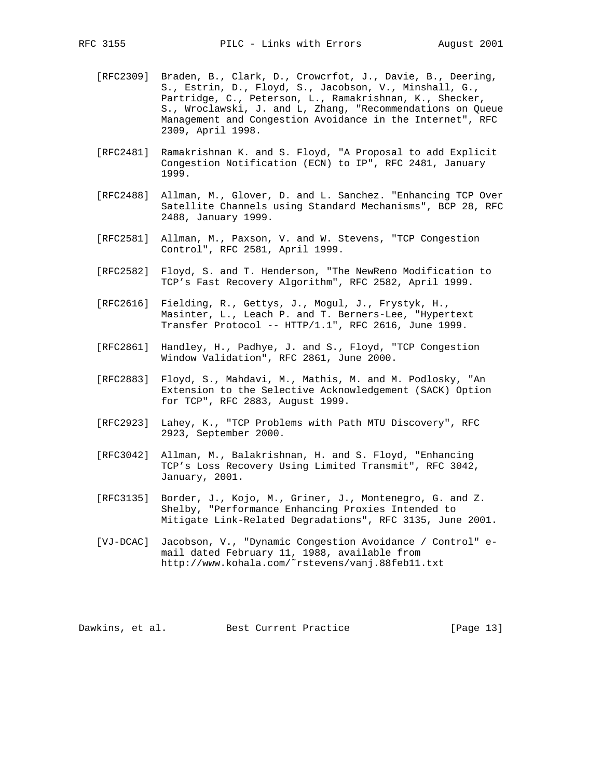- [RFC2309] Braden, B., Clark, D., Crowcrfot, J., Davie, B., Deering,
	- S., Estrin, D., Floyd, S., Jacobson, V., Minshall, G., Partridge, C., Peterson, L., Ramakrishnan, K., Shecker, S., Wroclawski, J. and L, Zhang, "Recommendations on Queue Management and Congestion Avoidance in the Internet", RFC 2309, April 1998.
- [RFC2481] Ramakrishnan K. and S. Floyd, "A Proposal to add Explicit Congestion Notification (ECN) to IP", RFC 2481, January 1999.
- [RFC2488] Allman, M., Glover, D. and L. Sanchez. "Enhancing TCP Over Satellite Channels using Standard Mechanisms", BCP 28, RFC 2488, January 1999.
- [RFC2581] Allman, M., Paxson, V. and W. Stevens, "TCP Congestion Control", RFC 2581, April 1999.
- [RFC2582] Floyd, S. and T. Henderson, "The NewReno Modification to TCP's Fast Recovery Algorithm", RFC 2582, April 1999.
- [RFC2616] Fielding, R., Gettys, J., Mogul, J., Frystyk, H., Masinter, L., Leach P. and T. Berners-Lee, "Hypertext Transfer Protocol -- HTTP/1.1", RFC 2616, June 1999.
- [RFC2861] Handley, H., Padhye, J. and S., Floyd, "TCP Congestion Window Validation", RFC 2861, June 2000.
- [RFC2883] Floyd, S., Mahdavi, M., Mathis, M. and M. Podlosky, "An Extension to the Selective Acknowledgement (SACK) Option for TCP", RFC 2883, August 1999.
- [RFC2923] Lahey, K., "TCP Problems with Path MTU Discovery", RFC 2923, September 2000.
- [RFC3042] Allman, M., Balakrishnan, H. and S. Floyd, "Enhancing TCP's Loss Recovery Using Limited Transmit", RFC 3042, January, 2001.
- [RFC3135] Border, J., Kojo, M., Griner, J., Montenegro, G. and Z. Shelby, "Performance Enhancing Proxies Intended to Mitigate Link-Related Degradations", RFC 3135, June 2001.
- [VJ-DCAC] Jacobson, V., "Dynamic Congestion Avoidance / Control" e mail dated February 11, 1988, available from http://www.kohala.com/˜rstevens/vanj.88feb11.txt

Dawkins, et al. Best Current Practice [Page 13]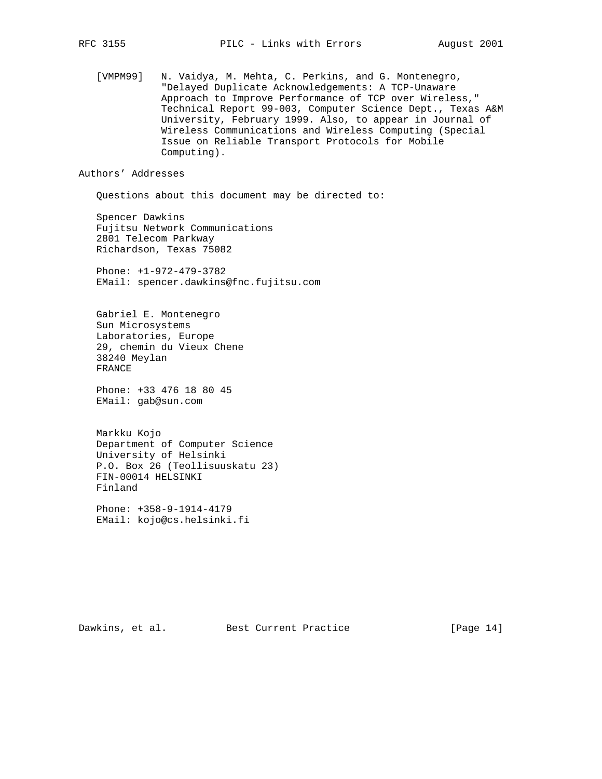[VMPM99] N. Vaidya, M. Mehta, C. Perkins, and G. Montenegro, "Delayed Duplicate Acknowledgements: A TCP-Unaware Approach to Improve Performance of TCP over Wireless," Technical Report 99-003, Computer Science Dept., Texas A&M University, February 1999. Also, to appear in Journal of Wireless Communications and Wireless Computing (Special Issue on Reliable Transport Protocols for Mobile Computing).

Authors' Addresses

Questions about this document may be directed to:

 Spencer Dawkins Fujitsu Network Communications 2801 Telecom Parkway Richardson, Texas 75082

 Phone: +1-972-479-3782 EMail: spencer.dawkins@fnc.fujitsu.com

 Gabriel E. Montenegro Sun Microsystems Laboratories, Europe 29, chemin du Vieux Chene 38240 Meylan FRANCE

 Phone: +33 476 18 80 45 EMail: gab@sun.com

 Markku Kojo Department of Computer Science University of Helsinki P.O. Box 26 (Teollisuuskatu 23) FIN-00014 HELSINKI Finland

 Phone: +358-9-1914-4179 EMail: kojo@cs.helsinki.fi

Dawkins, et al. Best Current Practice [Page 14]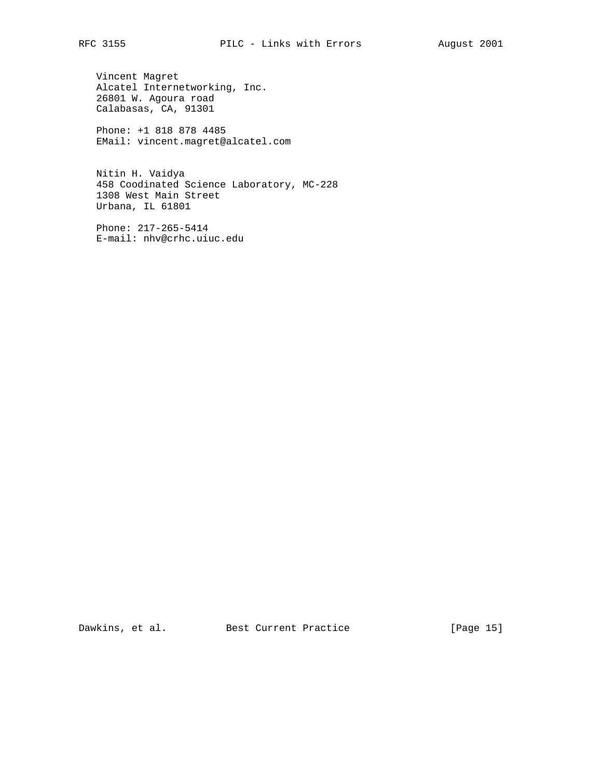Vincent Magret Alcatel Internetworking, Inc. 26801 W. Agoura road Calabasas, CA, 91301

 Phone: +1 818 878 4485 EMail: vincent.magret@alcatel.com

 Nitin H. Vaidya 458 Coodinated Science Laboratory, MC-228 1308 West Main Street Urbana, IL 61801

 Phone: 217-265-5414 E-mail: nhv@crhc.uiuc.edu

Dawkins, et al. Best Current Practice [Page 15]